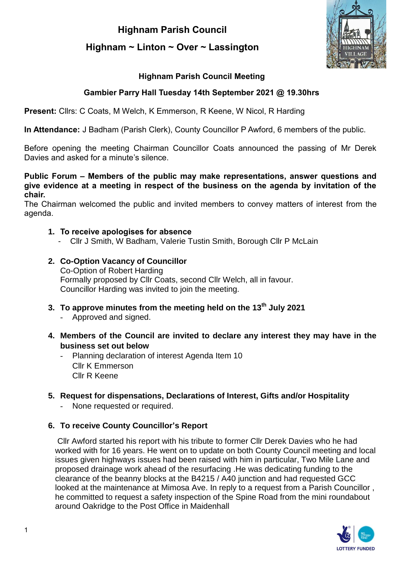**Highnam Parish Council**

# **Highnam ~ Linton ~ Over ~ Lassington**



# **Highnam Parish Council Meeting**

# **Gambier Parry Hall Tuesday 14th September 2021 @ 19.30hrs**

**Present:** Cllrs: C Coats, M Welch, K Emmerson, R Keene, W Nicol, R Harding

**In Attendance:** J Badham (Parish Clerk), County Councillor P Awford, 6 members of the public.

Before opening the meeting Chairman Councillor Coats announced the passing of Mr Derek Davies and asked for a minute's silence.

#### **Public Forum – Members of the public may make representations, answer questions and give evidence at a meeting in respect of the business on the agenda by invitation of the chair.**

The Chairman welcomed the public and invited members to convey matters of interest from the agenda.

#### **1. To receive apologises for absence**

- Cllr J Smith, W Badham, Valerie Tustin Smith, Borough Cllr P McLain

#### **2. Co-Option Vacancy of Councillor** Co-Option of Robert Harding Formally proposed by Cllr Coats, second Cllr Welch, all in favour. Councillor Harding was invited to join the meeting.

- **3. To approve minutes from the meeting held on the 13th July 2021**
	- Approved and signed.
- **4. Members of the Council are invited to declare any interest they may have in the business set out below**
	- Planning declaration of interest Agenda Item 10 Cllr K Emmerson Cllr R Keene
- **5. Request for dispensations, Declarations of Interest, Gifts and/or Hospitality**
	- None requested or required.

# **6. To receive County Councillor's Report**

Cllr Awford started his report with his tribute to former Cllr Derek Davies who he had worked with for 16 years. He went on to update on both County Council meeting and local issues given highways issues had been raised with him in particular, Two Mile Lane and proposed drainage work ahead of the resurfacing .He was dedicating funding to the clearance of the beanny blocks at the B4215 / A40 junction and had requested GCC looked at the maintenance at Mimosa Ave. In reply to a request from a Parish Councillor, he committed to request a safety inspection of the Spine Road from the mini roundabout around Oakridge to the Post Office in Maidenhall

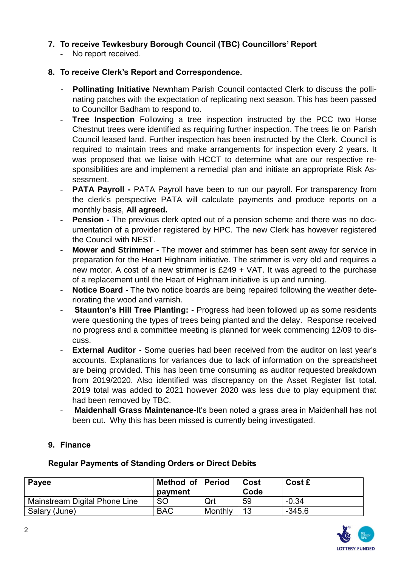# **7. To receive Tewkesbury Borough Council (TBC) Councillors' Report**

- No report received.

### **8. To receive Clerk's Report and Correspondence.**

- **Pollinating Initiative** Newnham Parish Council contacted Clerk to discuss the pollinating patches with the expectation of replicating next season. This has been passed to Councillor Badham to respond to.
- **Tree Inspection** Following a tree inspection instructed by the PCC two Horse Chestnut trees were identified as requiring further inspection. The trees lie on Parish Council leased land. Further inspection has been instructed by the Clerk. Council is required to maintain trees and make arrangements for inspection every 2 years. It was proposed that we liaise with HCCT to determine what are our respective responsibilities are and implement a remedial plan and initiate an appropriate Risk Assessment.
- **PATA Payroll -** PATA Payroll have been to run our payroll. For transparency from the clerk's perspective PATA will calculate payments and produce reports on a monthly basis, **All agreed.**
- **Pension -** The previous clerk opted out of a pension scheme and there was no documentation of a provider registered by HPC. The new Clerk has however registered the Council with NEST.
- **Mower and Strimmer -** The mower and strimmer has been sent away for service in preparation for the Heart Highnam initiative. The strimmer is very old and requires a new motor. A cost of a new strimmer is £249 + VAT. It was agreed to the purchase of a replacement until the Heart of Highnam initiative is up and running.
- **Notice Board -** The two notice boards are being repaired following the weather deteriorating the wood and varnish.
- **Staunton's Hill Tree Planting: Progress had been followed up as some residents** were questioning the types of trees being planted and the delay. Response received no progress and a committee meeting is planned for week commencing 12/09 to discuss.
- **External Auditor -** Some queries had been received from the auditor on last year's accounts. Explanations for variances due to lack of information on the spreadsheet are being provided. This has been time consuming as auditor requested breakdown from 2019/2020. Also identified was discrepancy on the Asset Register list total. 2019 total was added to 2021 however 2020 was less due to play equipment that had been removed by TBC.
- **Maidenhall Grass Maintenance-**It's been noted a grass area in Maidenhall has not been cut. Why this has been missed is currently being investigated.

# **9. Finance**

| Payee                         | Method of Period<br>payment |         | Cost<br>Code | Cost £   |
|-------------------------------|-----------------------------|---------|--------------|----------|
| Mainstream Digital Phone Line | <b>SO</b>                   | Qrt     | 59           | $-0.34$  |
| Salary (June)                 | <b>BAC</b>                  | Monthly | 13           | $-345.6$ |

#### **Regular Payments of Standing Orders or Direct Debits**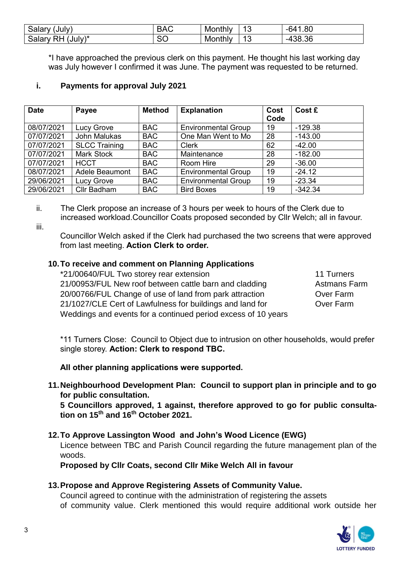| ′ alaryبoal<br>,Julv,                  | ∽<br>Δ<br>טרש | Monthly | $\overline{A}$<br>ັ | $\alpha$<br>'nΔ<br>.ou  |
|----------------------------------------|---------------|---------|---------------------|-------------------------|
| $July)^*$<br><b>Salar</b><br>R٣<br>I V | ~~<br>ov      | Monthly | $\overline{A}$<br>ັ | $\sim$<br>.აბ.ახ<br>-4. |

\*I have approached the previous clerk on this payment. He thought his last working day was July however I confirmed it was June. The payment was requested to be returned.

# **i. Payments for approval July 2021**

| <b>Date</b> | Payee                 | <b>Method</b> | <b>Explanation</b>         | Cost | Cost £    |
|-------------|-----------------------|---------------|----------------------------|------|-----------|
|             |                       |               |                            | Code |           |
| 08/07/2021  | <b>Lucy Grove</b>     | <b>BAC</b>    | <b>Environmental Group</b> | 19   | $-129.38$ |
| 07/07/2021  | John Malukas          | <b>BAC</b>    | One Man Went to Mo         | 28   | $-143.00$ |
| 07/07/2021  | <b>SLCC Training</b>  | <b>BAC</b>    | <b>Clerk</b>               | 62   | $-42.00$  |
| 07/07/2021  | <b>Mark Stock</b>     | <b>BAC</b>    | Maintenance                | 28   | $-182.00$ |
| 07/07/2021  | <b>HCCT</b>           | <b>BAC</b>    | Room Hire                  | 29   | $-36.00$  |
| 08/07/2021  | <b>Adele Beaumont</b> | <b>BAC</b>    | <b>Environmental Group</b> | 19   | $-24.12$  |
| 29/06/2021  | <b>Lucy Grove</b>     | <b>BAC</b>    | <b>Environmental Group</b> | 19   | $-23.34$  |
| 29/06/2021  | Cllr Badham           | <b>BAC</b>    | <b>Bird Boxes</b>          | 19   | $-342.34$ |

ii. The Clerk propose an increase of 3 hours per week to hours of the Clerk due to increased workload.Councillor Coats proposed seconded by Cllr Welch; all in favour.

iii.

Councillor Welch asked if the Clerk had purchased the two screens that were approved from last meeting. **Action Clerk to order.** 

#### **10.To receive and comment on Planning Applications**

| *21/00640/FUL Two storey rear extension                       | 11 Turners   |
|---------------------------------------------------------------|--------------|
| 21/00953/FUL New roof between cattle barn and cladding        | Astmans Farm |
| 20/00766/FUL Change of use of land from park attraction       | Over Farm    |
| 21/1027/CLE Cert of Lawfulness for buildings and land for     | Over Farm    |
| Weddings and events for a continued period excess of 10 years |              |

\*11 Turners Close: Council to Object due to intrusion on other households, would prefer single storey. **Action: Clerk to respond TBC.**

**All other planning applications were supported.**

**11.Neighbourhood Development Plan: Council to support plan in principle and to go for public consultation.**

**5 Councillors approved, 1 against, therefore approved to go for public consultation on 15th and 16th October 2021.** 

#### **12.To Approve Lassington Wood and John's Wood Licence (EWG)**

Licence between TBC and Parish Council regarding the future management plan of the woods.

**Proposed by Cllr Coats, second Cllr Mike Welch All in favour** 

# **13.Propose and Approve Registering Assets of Community Value.**

Council agreed to continue with the administration of registering the assets of community value. Clerk mentioned this would require additional work outside her

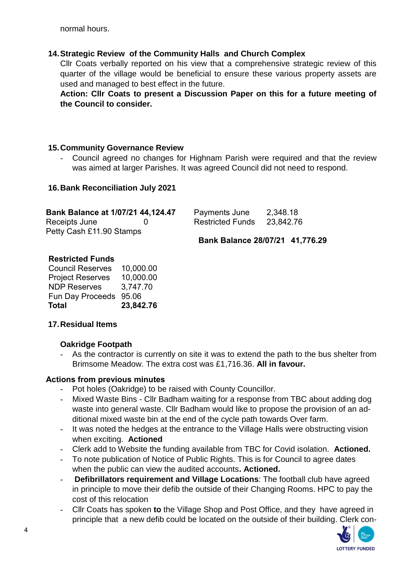normal hours.

# **14.Strategic Review of the Community Halls and Church Complex**

Cllr Coats verbally reported on his view that a comprehensive strategic review of this quarter of the village would be beneficial to ensure these various property assets are used and managed to best effect in the future.

**Action: Cllr Coats to present a Discussion Paper on this for a future meeting of the Council to consider.**

#### **15.Community Governance Review**

Council agreed no changes for Highnam Parish were required and that the review was aimed at larger Parishes. It was agreed Council did not need to respond.

#### **16.Bank Reconciliation July 2021**

| Bank Balance at 1/07/21 44,124.47 | Payments June           | 2,348.18  |
|-----------------------------------|-------------------------|-----------|
| Receipts June                     | <b>Restricted Funds</b> | 23.842.76 |
| Petty Cash £11.90 Stamps          |                         |           |

 **Bank Balance 28/07/21 41,776.29**

#### **Restricted Funds**

Council Reserves 10,000.00 Project Reserves 10,000.00 NDP Reserves 3,747.70 Fun Day Proceeds 95.06 **Total 23,842.76**

# **17.Residual Items**

# **Oakridge Footpath**

- As the contractor is currently on site it was to extend the path to the bus shelter from Brimsome Meadow. The extra cost was £1,716.36. **All in favour.** 

# **Actions from previous minutes**

- Pot holes (Oakridge) to be raised with County Councillor.
- Mixed Waste Bins Cllr Badham waiting for a response from TBC about adding dog waste into general waste. Cllr Badham would like to propose the provision of an additional mixed waste bin at the end of the cycle path towards Over farm.
- It was noted the hedges at the entrance to the Village Halls were obstructing vision when exciting. **Actioned**
- Clerk add to Website the funding available from TBC for Covid isolation. **Actioned.**
- To note publication of Notice of Public Rights. This is for Council to agree dates when the public can view the audited accounts**. Actioned.**
- **Defibrillators requirement and Village Locations**: The football club have agreed in principle to move their defib the outside of their Changing Rooms. HPC to pay the cost of this relocation
- Cllr Coats has spoken **to** the Village Shop and Post Office, and they have agreed in principle that a new defib could be located on the outside of their building. Clerk con-